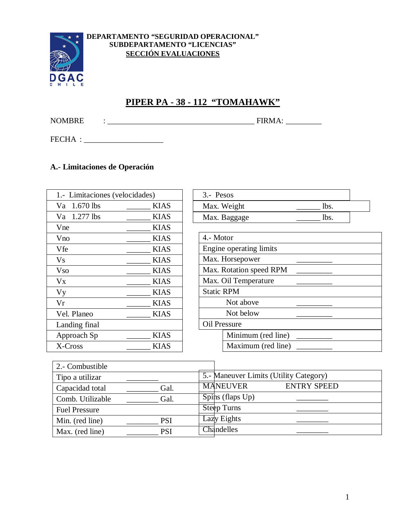

#### **DEPARTAMENTO "SEGURIDAD OPERACIONAL" SUBDEPARTAMENTO "LICENCIAS" SECCIÓN EVALUACIONES**

# **PIPER PA - 38 - 112 "TOMAHAWK"**

NOMBRE : \_\_\_\_\_\_\_\_\_\_\_\_\_\_\_\_\_\_\_\_\_\_\_\_\_\_\_\_\_\_\_\_\_\_\_\_\_ FIRMA: \_\_\_\_\_\_\_\_\_

FECHA :

#### **A.- Limitaciones de Operación**

| 1.- Limitaciones (velocidades) |             |  |
|--------------------------------|-------------|--|
| $1.670$ lbs<br>Va              | <b>KIAS</b> |  |
| Va 1.277 lbs                   | KIAS        |  |
| Vne                            | KIAS        |  |
| Vno                            | <b>KIAS</b> |  |
| Vfe                            | <b>KIAS</b> |  |
| Vs                             | <b>KIAS</b> |  |
| Vso                            | KIAS        |  |
| Vx                             | KIAS        |  |
| <b>Vy</b>                      | <b>KIAS</b> |  |
| Vr                             | KIAS        |  |
| Vel. Planeo                    | <b>KIAS</b> |  |
| Landing final                  |             |  |
| Approach Sp                    | <b>KIAS</b> |  |
| X-Cross                        | KIAS        |  |

| 3.- Pesos |                         |      |  |
|-----------|-------------------------|------|--|
|           | Max. Weight             | lbs. |  |
|           | Max. Baggage            | lbs. |  |
|           |                         |      |  |
| 4.- Motor |                         |      |  |
|           | Engine operating limits |      |  |
|           | Max. Horsepower         |      |  |

Max. Rotation speed RPM

Max. Oil Temperature

Static RPM

Not above

Not below

Oil Pressure

Minimum (red line) Maximum (red line)

| 2.- Combustible      |            |                                        |
|----------------------|------------|----------------------------------------|
| Tipo a utilizar      |            | 5.- Maneuver Limits (Utility Category) |
| Capacidad total      | Gal.       | <b>MANEUVER</b><br><b>ENTRY SPEED</b>  |
| Comb. Utilizable     | Gal.       | $Spins$ (flaps $Up$ )                  |
| <b>Fuel Pressure</b> |            | <b>Steep Turns</b>                     |
| Min. (red line)      | <b>PSI</b> | Lazy Eights                            |
| Max. (red line)      | <b>PSI</b> | Chandelles                             |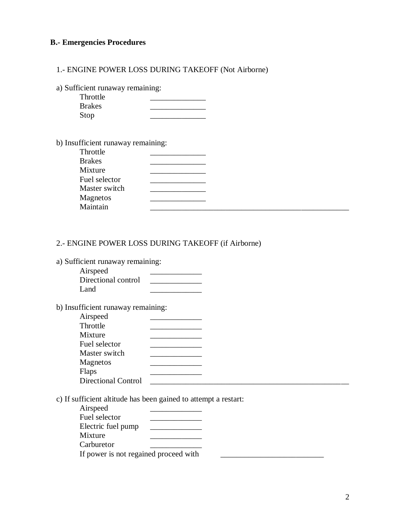#### **B.- Emergencies Procedures**

1.- ENGINE POWER LOSS DURING TAKEOFF (Not Airborne)

a) Sufficient runaway remaining:

| Throttle      |  |
|---------------|--|
| <b>Brakes</b> |  |
| Stop          |  |

b) Insufficient runaway remaining:

| Throttle      |  |  |
|---------------|--|--|
| <b>Brakes</b> |  |  |
| Mixture       |  |  |
| Fuel selector |  |  |
| Master switch |  |  |
| Magnetos      |  |  |
| Maintain      |  |  |

### 2.- ENGINE POWER LOSS DURING TAKEOFF (if Airborne)

a) Sufficient runaway remaining:

| Airspeed            |  |
|---------------------|--|
| Directional control |  |
| Land                |  |

b) Insufficient runaway remaining:

| Airspeed                   |  |  |
|----------------------------|--|--|
| Throttle                   |  |  |
| Mixture                    |  |  |
| Fuel selector              |  |  |
| Master switch              |  |  |
| Magnetos                   |  |  |
| Flaps                      |  |  |
| <b>Directional Control</b> |  |  |

c) If sufficient altitude has been gained to attempt a restart:

| Airspeed                              |  |  |
|---------------------------------------|--|--|
| Fuel selector                         |  |  |
| Electric fuel pump                    |  |  |
| Mixture                               |  |  |
| Carburetor                            |  |  |
| If power is not regained proceed with |  |  |